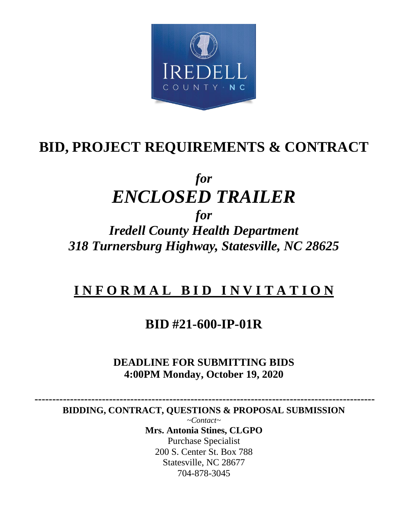

# **BID, PROJECT REQUIREMENTS & CONTRACT**

# *for ENCLOSED TRAILER for*

*Iredell County Health Department 318 Turnersburg Highway, Statesville, NC 28625*

# **I N F O R M A L B I D I N V I T A T I O N**

## **BID #21-600-IP-01R**

## **DEADLINE FOR SUBMITTING BIDS 4:00PM Monday, October 19, 2020**

 **------------------------------------------------------------------------------------------------ BIDDING, CONTRACT, QUESTIONS & PROPOSAL SUBMISSION** 

*~Contact~* **Mrs. Antonia Stines, CLGPO** Purchase Specialist 200 S. Center St. Box 788 Statesville, NC 28677 704-878-3045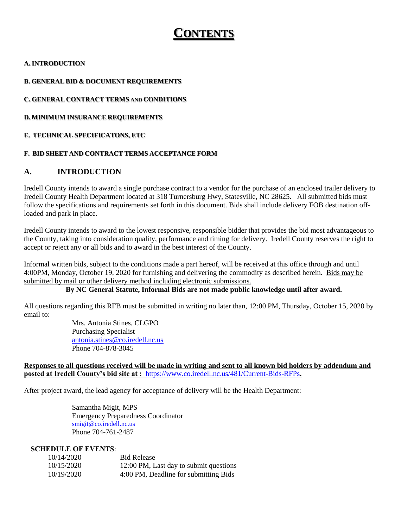## **CONTENTS**

#### **A. INTRODUCTION**

#### **B. GENERAL BID & DOCUMENT REQUIREMENTS**

**C. GENERAL CONTRACT TERMS AND CONDITIONS**

**D. MINIMUM INSURANCE REQUIREMENTS**

#### **E. TECHNICAL SPECIFICATONS, ETC**

#### **F. BID SHEET AND CONTRACT TERMS ACCEPTANCE FORM**

#### **A. INTRODUCTION**

Iredell County intends to award a single purchase contract to a vendor for the purchase of an enclosed trailer delivery to Iredell County Health Department located at 318 Turnersburg Hwy, Statesville, NC 28625. All submitted bids must follow the specifications and requirements set forth in this document. Bids shall include delivery FOB destination offloaded and park in place.

Iredell County intends to award to the lowest responsive, responsible bidder that provides the bid most advantageous to the County, taking into consideration quality, performance and timing for delivery. Iredell County reserves the right to accept or reject any or all bids and to award in the best interest of the County.

Informal written bids, subject to the conditions made a part hereof, will be received at this office through and until 4:00PM, Monday, October 19, 2020 for furnishing and delivering the commodity as described herein. Bids may be submitted by mail or other delivery method including electronic submissions.

#### **By NC General Statute, Informal Bids are not made public knowledge until after award.**

All questions regarding this RFB must be submitted in writing no later than, 12:00 PM, Thursday, October 15, 2020 by email to:

> Mrs. Antonia Stines, CLGPO Purchasing Specialist [antonia.stines@co.iredell.nc.us](mailto:antonia.stines@co.iredell.nc.us) Phone 704-878-3045

#### **Responses to all questions received will be made in writing and sent to all known bid holders by addendum and posted at Iredell County's bid site at :** <https://www.co.iredell.nc.us/481/Current-Bids-RFPs>**.**

After project award, the lead agency for acceptance of delivery will be the Health Department:

Samantha Migit, MPS Emergency Preparedness Coordinator [smigit@co.iredell.nc.us](mailto:smigit@co.iredell.nc.us) Phone 704-761-2487

#### **SCHEDULE OF EVENTS**:

| 10/14/2020 | <b>Bid Release</b>                     |
|------------|----------------------------------------|
| 10/15/2020 | 12:00 PM, Last day to submit questions |
| 10/19/2020 | 4:00 PM, Deadline for submitting Bids  |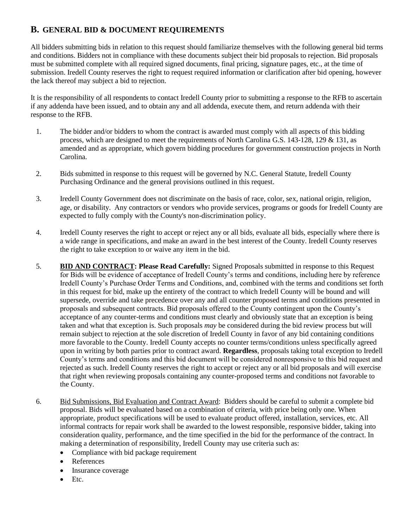## **B. GENERAL BID & DOCUMENT REQUIREMENTS**

All bidders submitting bids in relation to this request should familiarize themselves with the following general bid terms and conditions. Bidders not in compliance with these documents subject their bid proposals to rejection. Bid proposals must be submitted complete with all required signed documents, final pricing, signature pages, etc., at the time of submission. Iredell County reserves the right to request required information or clarification after bid opening, however the lack thereof may subject a bid to rejection.

It is the responsibility of all respondents to contact Iredell County prior to submitting a response to the RFB to ascertain if any addenda have been issued, and to obtain any and all addenda, execute them, and return addenda with their response to the RFB.

- 1. The bidder and/or bidders to whom the contract is awarded must comply with all aspects of this bidding process, which are designed to meet the requirements of North Carolina G.S. 143-128, 129 & 131, as amended and as appropriate, which govern bidding procedures for government construction projects in North Carolina.
- 2. Bids submitted in response to this request will be governed by N.C. General Statute, Iredell County Purchasing Ordinance and the general provisions outlined in this request.
- 3. Iredell County Government does not discriminate on the basis of race, color, sex, national origin, religion, age, or disability. Any contractors or vendors who provide services, programs or goods for Iredell County are expected to fully comply with the County's non-discrimination policy.
- 4. Iredell County reserves the right to accept or reject any or all bids, evaluate all bids, especially where there is a wide range in specifications, and make an award in the best interest of the County. Iredell County reserves the right to take exception to or waive any item in the bid.
- 5. **BID AND CONTRACT: Please Read Carefully:** Signed Proposals submitted in response to this Request for Bids will be evidence of acceptance of Iredell County's terms and conditions, including here by reference Iredell County's Purchase Order Terms and Conditions, and, combined with the terms and conditions set forth in this request for bid, make up the entirety of the contract to which Iredell County will be bound and will supersede, override and take precedence over any and all counter proposed terms and conditions presented in proposals and subsequent contracts. Bid proposals offered to the County contingent upon the County's acceptance of any counter-terms and conditions must clearly and obviously state that an exception is being taken and what that exception is. Such proposals *may* be considered during the bid review process but will remain subject to rejection at the sole discretion of Iredell County in favor of any bid containing conditions more favorable to the County. Iredell County accepts no counter terms/conditions unless specifically agreed upon in writing by both parties prior to contract award. **Regardless**, proposals taking total exception to Iredell County's terms and conditions and this bid document will be considered nonresponsive to this bid request and rejected as such. Iredell County reserves the right to accept or reject any or all bid proposals and will exercise that right when reviewing proposals containing any counter-proposed terms and conditions not favorable to the County.
- 6. Bid Submissions, Bid Evaluation and Contract Award: Bidders should be careful to submit a complete bid proposal. Bids will be evaluated based on a combination of criteria, with price being only one. When appropriate, product specifications will be used to evaluate product offered, installation, services, etc. All informal contracts for repair work shall be awarded to the lowest responsible, responsive bidder, taking into consideration quality, performance, and the time specified in the bid for the performance of the contract. In making a determination of responsibility, Iredell County may use criteria such as:
	- Compliance with bid package requirement
	- References
	- Insurance coverage
	- Etc.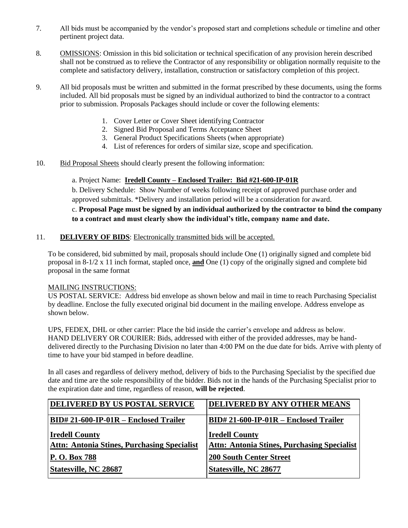- 7. All bids must be accompanied by the vendor's proposed start and completions schedule or timeline and other pertinent project data.
- 8. OMISSIONS: Omission in this bid solicitation or technical specification of any provision herein described shall not be construed as to relieve the Contractor of any responsibility or obligation normally requisite to the complete and satisfactory delivery, installation, construction or satisfactory completion of this project.
- 9. All bid proposals must be written and submitted in the format prescribed by these documents, using the forms included. All bid proposals must be signed by an individual authorized to bind the contractor to a contract prior to submission. Proposals Packages should include or cover the following elements:
	- 1. Cover Letter or Cover Sheet identifying Contractor
	- 2. Signed Bid Proposal and Terms Acceptance Sheet
	- 3. General Product Specifications Sheets (when appropriate)
	- 4. List of references for orders of similar size, scope and specification.
- 10. Bid Proposal Sheets should clearly present the following information:

#### a. Project Name: **Iredell County – Enclosed Trailer: Bid #21-600-IP-01R**

b. Delivery Schedule: Show Number of weeks following receipt of approved purchase order and approved submittals. \*Delivery and installation period will be a consideration for award.

### c. **Proposal Page must be signed by an individual authorized by the contractor to bind the company to a contract and must clearly show the individual's title, company name and date.**

#### 11. **DELIVERY OF BIDS**: Electronically transmitted bids will be accepted.

To be considered, bid submitted by mail, proposals should include One (1) originally signed and complete bid proposal in 8-1/2 x 11 inch format, stapled once, **and** One (1) copy of the originally signed and complete bid proposal in the same format

#### MAILING INSTRUCTIONS:

US POSTAL SERVICE: Address bid envelope as shown below and mail in time to reach Purchasing Specialist by deadline. Enclose the fully executed original bid document in the mailing envelope. Address envelope as shown below.

UPS, FEDEX, DHL or other carrier: Place the bid inside the carrier's envelope and address as below. HAND DELIVERY OR COURIER: Bids, addressed with either of the provided addresses, may be handdelivered directly to the Purchasing Division no later than 4:00 PM on the due date for bids. Arrive with plenty of time to have your bid stamped in before deadline.

In all cases and regardless of delivery method, delivery of bids to the Purchasing Specialist by the specified due date and time are the sole responsibility of the bidder. Bids not in the hands of the Purchasing Specialist prior to the expiration date and time, regardless of reason, **will be rejected**.

| DELIVERED BY US POSTAL SERVICE                     | DELIVERED BY ANY OTHER MEANS                       |
|----------------------------------------------------|----------------------------------------------------|
| BID# 21-600-IP-01R – Enclosed Trailer              | $BID# 21-600-IP-01R - Enclosed Trailer$            |
| <b>Iredell County</b>                              | <b>Iredell County</b>                              |
| <b>Attn: Antonia Stines, Purchasing Specialist</b> | <b>Attn: Antonia Stines, Purchasing Specialist</b> |
| P. O. Box 788                                      | <b>200 South Center Street</b>                     |
| <b>Statesville, NC 28687</b>                       | Statesville, NC 28677                              |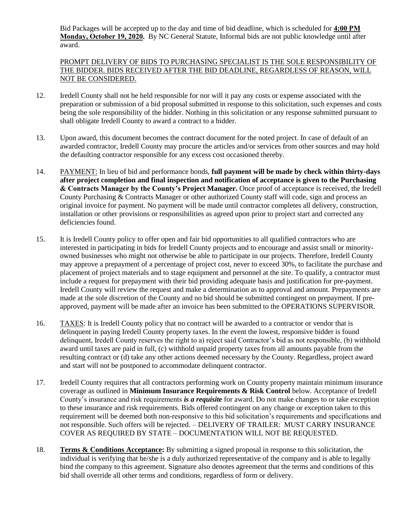Bid Packages will be accepted up to the day and time of bid deadline, which is scheduled for **4:00 PM Monday, October 19, 2020.** By NC General Statute, Informal bids are not public knowledge until after award.

#### PROMPT DELIVERY OF BIDS TO PURCHASING SPECIALIST IS THE SOLE RESPONSIBILITY OF THE BIDDER. BIDS RECEIVED AFTER THE BID DEADLINE, REGARDLESS OF REASON, WILL NOT BE CONSIDERED.

- 12. Iredell County shall not be held responsible for nor will it pay any costs or expense associated with the preparation or submission of a bid proposal submitted in response to this solicitation, such expenses and costs being the sole responsibility of the bidder. Nothing in this solicitation or any response submitted pursuant to shall obligate Iredell County to award a contract to a bidder.
- 13. Upon award, this document becomes the contract document for the noted project. In case of default of an awarded contractor, Iredell County may procure the articles and/or services from other sources and may hold the defaulting contractor responsible for any excess cost occasioned thereby.
- 14. PAYMENT: In lieu of bid and performance bonds, **full payment will be made by check within thirty-days after project completion and final inspection and notification of acceptance is given to the Purchasing & Contracts Manager by the County's Project Manager.** Once proof of acceptance is received, the Iredell County Purchasing & Contracts Manager or other authorized County staff will code, sign and process an original invoice for payment. No payment will be made until contractor completes all delivery, construction, installation or other provisions or responsibilities as agreed upon prior to project start and corrected any deficiencies found.
- 15. It is Iredell County policy to offer open and fair bid opportunities to all qualified contractors who are interested in participating in bids for Iredell County projects and to encourage and assist small or minorityowned businesses who might not otherwise be able to participate in our projects. Therefore, Iredell County may approve a prepayment of a percentage of project cost, never to exceed 30%, to facilitate the purchase and placement of project materials and to stage equipment and personnel at the site. To qualify, a contractor must include a request for prepayment with their bid providing adequate basis and justification for pre-payment. Iredell County will review the request and make a determination as to approval and amount. Prepayments are made at the sole discretion of the County and no bid should be submitted contingent on prepayment. If preapproved, payment will be made after an invoice has been submitted to the OPERATIONS SUPERVISOR.
- 16. TAXES: It is Iredell County policy that no contract will be awarded to a contractor or vendor that is delinquent in paying Iredell County property taxes. In the event the lowest, responsive bidder is found delinquent, Iredell County reserves the right to a) reject said Contractor's bid as not responsible, (b) withhold award until taxes are paid in full, (c) withhold unpaid property taxes from all amounts payable from the resulting contract or (d) take any other actions deemed necessary by the County. Regardless, project award and start will not be postponed to accommodate delinquent contractor.
- 17. Iredell County requires that all contractors performing work on County property maintain minimum insurance coverage as outlined in **Minimum Insurance Requirements & Risk Control** below. Acceptance of Iredell County's insurance and risk requirements *is a requisite* for award. Do not make changes to or take exception to these insurance and risk requirements. Bids offered contingent on any change or exception taken to this requirement will be deemed both non-responsive to this bid solicitation's requirements and specifications and not responsible. Such offers will be rejected. – DELIVERY OF TRAILER: MUST CARRY INSURANCE COVER AS REQUIRED BY STATE – DOCUMENTATION WILL NOT BE REQUESTED.
- 18. **Terms & Conditions Acceptance:** By submitting a signed proposal in response to this solicitation, the individual is verifying that he/she is a duly authorized representative of the company and is able to legally bind the company to this agreement. Signature also denotes agreement that the terms and conditions of this bid shall override all other terms and conditions, regardless of form or delivery.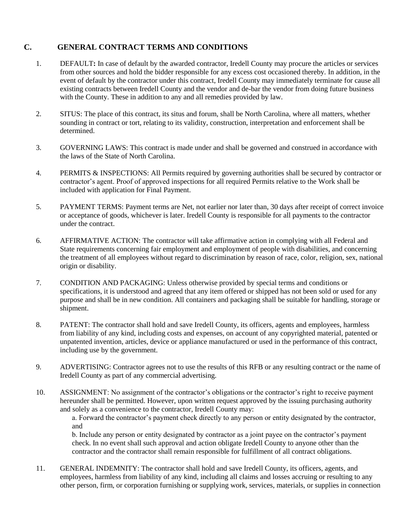### **C. GENERAL CONTRACT TERMS AND CONDITIONS**

- 1. DEFAULT**:** In case of default by the awarded contractor, Iredell County may procure the articles or services from other sources and hold the bidder responsible for any excess cost occasioned thereby. In addition, in the event of default by the contractor under this contract, Iredell County may immediately terminate for cause all existing contracts between Iredell County and the vendor and de-bar the vendor from doing future business with the County. These in addition to any and all remedies provided by law.
- 2. SITUS: The place of this contract, its situs and forum, shall be North Carolina, where all matters, whether sounding in contract or tort, relating to its validity, construction, interpretation and enforcement shall be determined.
- 3. GOVERNING LAWS: This contract is made under and shall be governed and construed in accordance with the laws of the State of North Carolina.
- 4. PERMITS & INSPECTIONS: All Permits required by governing authorities shall be secured by contractor or contractor's agent. Proof of approved inspections for all required Permits relative to the Work shall be included with application for Final Payment.
- 5. PAYMENT TERMS: Payment terms are Net, not earlier nor later than, 30 days after receipt of correct invoice or acceptance of goods, whichever is later. Iredell County is responsible for all payments to the contractor under the contract.
- 6. AFFIRMATIVE ACTION: The contractor will take affirmative action in complying with all Federal and State requirements concerning fair employment and employment of people with disabilities, and concerning the treatment of all employees without regard to discrimination by reason of race, color, religion, sex, national origin or disability.
- 7. CONDITION AND PACKAGING: Unless otherwise provided by special terms and conditions or specifications, it is understood and agreed that any item offered or shipped has not been sold or used for any purpose and shall be in new condition. All containers and packaging shall be suitable for handling, storage or shipment.
- 8. PATENT: The contractor shall hold and save Iredell County, its officers, agents and employees, harmless from liability of any kind, including costs and expenses, on account of any copyrighted material, patented or unpatented invention, articles, device or appliance manufactured or used in the performance of this contract, including use by the government.
- 9. ADVERTISING: Contractor agrees not to use the results of this RFB or any resulting contract or the name of Iredell County as part of any commercial advertising.
- 10. ASSIGNMENT: No assignment of the contractor's obligations or the contractor's right to receive payment hereunder shall be permitted. However, upon written request approved by the issuing purchasing authority and solely as a convenience to the contractor, Iredell County may:

a. Forward the contractor's payment check directly to any person or entity designated by the contractor, and

b. Include any person or entity designated by contractor as a joint payee on the contractor's payment check. In no event shall such approval and action obligate Iredell County to anyone other than the contractor and the contractor shall remain responsible for fulfillment of all contract obligations.

11. GENERAL INDEMNITY: The contractor shall hold and save Iredell County, its officers, agents, and employees, harmless from liability of any kind, including all claims and losses accruing or resulting to any other person, firm, or corporation furnishing or supplying work, services, materials, or supplies in connection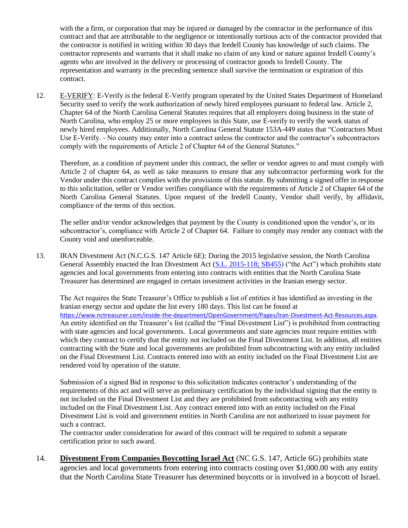with the a firm, or corporation that may be injured or damaged by the contractor in the performance of this contract and that are attributable to the negligence or intentionally tortious acts of the contractor provided that the contractor is notified in writing within 30 days that Iredell County has knowledge of such claims. The contractor represents and warrants that it shall make no claim of any kind or nature against Iredell County's agents who are involved in the delivery or processing of contractor goods to Iredell County. The representation and warranty in the preceding sentence shall survive the termination or expiration of this contract.

12. E-VERIFY: E-Verify is the federal E-Verify program operated by the United States Department of Homeland Security used to verify the work authorization of newly hired employees pursuant to federal law. Article 2, Chapter 64 of the North Carolina General Statutes requires that all employers doing business in the state of North Carolina, who employ 25 or more employees in this State, use E-verify to verify the work status of newly hired employees. Additionally, North Carolina General Statute 153A-449 states that "Contractors Must Use E-Verify. - No county may enter into a contract unless the contractor and the contractor's subcontractors comply with the requirements of Article 2 of Chapter 64 of the General Statutes."

Therefore, as a condition of payment under this contract, the seller or vendor agrees to and must comply with Article 2 of chapter 64, as well as take measures to ensure that any subcontractor performing work for the Vendor under this contract complies with the provisions of this statute. By submitting a signed offer in response to this solicitation, seller or Vendor verifies compliance with the requirements of Article 2 of Chapter 64 of the North Carolina General Statutes. Upon request of the Iredell County, Vendor shall verify, by affidavit, compliance of the terms of this section.

The seller and/or vendor acknowledges that payment by the County is conditioned upon the vendor's, or its subcontractor's, compliance with Article 2 of Chapter 64. Failure to comply may render any contract with the County void and unenforceable.

13. IRAN Divestment Act (N.C.G.S. 147 Article 6E): During the 2015 legislative session, the North Carolina General Assembly enacted the Iran Divestment Act [\(S.L. 2015-118; SB455\)](http://www.ncleg.net/Sessions/2015/Bills/Senate/HTML/S455v5.html) ("the Act") which prohibits state agencies and local governments from entering into contracts with entities that the North Carolina State Treasurer has determined are engaged in certain investment activities in the Iranian energy sector.

The Act requires the State Treasurer's Office to publish a list of entities it has identified as investing in the Iranian energy sector and update the list every 180 days. This list can be found at [https://www.nctreasurer.com/inside-the-department/OpenGovernment/Pages/Iran-Divestment-Act-Resources.aspx.](https://www.nctreasurer.com/inside-the-department/OpenGovernment/Pages/Iran-Divestment-Act-Resources.aspx) An entity identified on the Treasurer's list (called the "Final Divestment List") is prohibited from contracting with state agencies and local governments. Local governments and state agencies must require entities with which they contract to certify that the entity not included on the Final Divestment List. In addition, all entities contracting with the State and local governments are prohibited from subcontracting with any entity included on the Final Divestment List. Contracts entered into with an entity included on the Final Divestment List are rendered void by operation of the statute.

Submission of a signed Bid in response to this solicitation indicates contractor's understanding of the requirements of this act and will serve as preliminary certification by the individual signing that the entity is not included on the Final Divestment List and they are prohibited from subcontracting with any entity included on the Final Divestment List. Any contract entered into with an entity included on the Final Divestment List is void and government entities in North Carolina are not authorized to issue payment for such a contract.

The contractor under consideration for award of this contract will be required to submit a separate certification prior to such award.

14. **Divestment From Companies Boycotting Israel Act** (NC G.S. 147, Article 6G) prohibits state agencies and local governments from entering into contracts costing over \$1,000.00 with any entity that the North Carolina State Treasurer has determined boycotts or is involved in a boycott of Israel.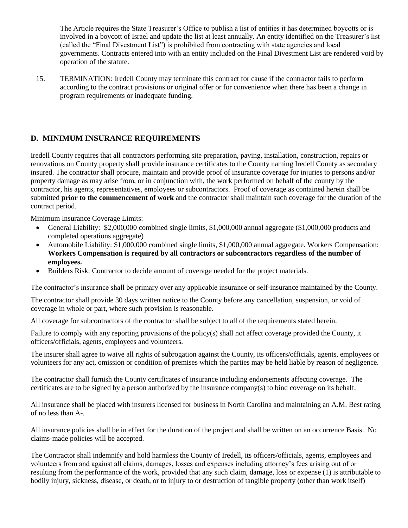The Article requires the State Treasurer's Office to publish a list of entities it has determined boycotts or is involved in a boycott of Israel and update the list at least annually. An entity identified on the Treasurer's list (called the "Final Divestment List") is prohibited from contracting with state agencies and local governments. Contracts entered into with an entity included on the Final Divestment List are rendered void by operation of the statute.

15. TERMINATION: Iredell County may terminate this contract for cause if the contractor fails to perform according to the contract provisions or original offer or for convenience when there has been a change in program requirements or inadequate funding.

## **D. MINIMUM INSURANCE REQUIREMENTS**

Iredell County requires that all contractors performing site preparation, paving, installation, construction, repairs or renovations on County property shall provide insurance certificates to the County naming Iredell County as secondary insured. The contractor shall procure, maintain and provide proof of insurance coverage for injuries to persons and/or property damage as may arise from, or in conjunction with, the work performed on behalf of the county by the contractor, his agents, representatives, employees or subcontractors. Proof of coverage as contained herein shall be submitted **prior to the commencement of work** and the contractor shall maintain such coverage for the duration of the contract period.

Minimum Insurance Coverage Limits:

- General Liability: \$2,000,000 combined single limits, \$1,000,000 annual aggregate (\$1,000,000 products and completed operations aggregate)
- Automobile Liability: \$1,000,000 combined single limits, \$1,000,000 annual aggregate. Workers Compensation: **Workers Compensation is required by all contractors or subcontractors regardless of the number of employees.**
- Builders Risk: Contractor to decide amount of coverage needed for the project materials.

The contractor's insurance shall be primary over any applicable insurance or self-insurance maintained by the County.

The contractor shall provide 30 days written notice to the County before any cancellation, suspension, or void of coverage in whole or part, where such provision is reasonable.

All coverage for subcontractors of the contractor shall be subject to all of the requirements stated herein.

Failure to comply with any reporting provisions of the policy(s) shall not affect coverage provided the County, it officers/officials, agents, employees and volunteers.

The insurer shall agree to waive all rights of subrogation against the County, its officers/officials, agents, employees or volunteers for any act, omission or condition of premises which the parties may be held liable by reason of negligence.

The contractor shall furnish the County certificates of insurance including endorsements affecting coverage. The certificates are to be signed by a person authorized by the insurance company(s) to bind coverage on its behalf.

All insurance shall be placed with insurers licensed for business in North Carolina and maintaining an A.M. Best rating of no less than A-.

All insurance policies shall be in effect for the duration of the project and shall be written on an occurrence Basis. No claims-made policies will be accepted.

The Contractor shall indemnify and hold harmless the County of Iredell, its officers/officials, agents, employees and volunteers from and against all claims, damages, losses and expenses including attorney's fees arising out of or resulting from the performance of the work, provided that any such claim, damage, loss or expense (1) is attributable to bodily injury, sickness, disease, or death, or to injury to or destruction of tangible property (other than work itself)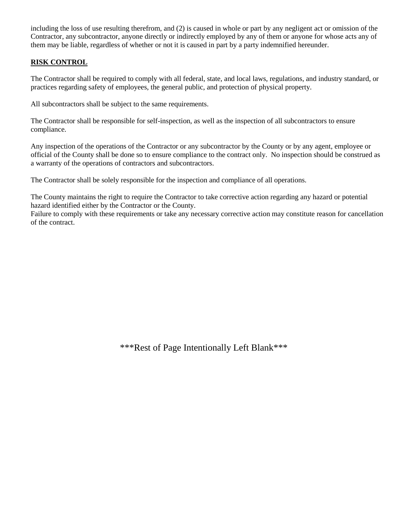including the loss of use resulting therefrom, and (2) is caused in whole or part by any negligent act or omission of the Contractor, any subcontractor, anyone directly or indirectly employed by any of them or anyone for whose acts any of them may be liable, regardless of whether or not it is caused in part by a party indemnified hereunder.

### **RISK CONTROL**

The Contractor shall be required to comply with all federal, state, and local laws, regulations, and industry standard, or practices regarding safety of employees, the general public, and protection of physical property.

All subcontractors shall be subject to the same requirements.

The Contractor shall be responsible for self-inspection, as well as the inspection of all subcontractors to ensure compliance.

Any inspection of the operations of the Contractor or any subcontractor by the County or by any agent, employee or official of the County shall be done so to ensure compliance to the contract only. No inspection should be construed as a warranty of the operations of contractors and subcontractors.

The Contractor shall be solely responsible for the inspection and compliance of all operations.

The County maintains the right to require the Contractor to take corrective action regarding any hazard or potential hazard identified either by the Contractor or the County.

Failure to comply with these requirements or take any necessary corrective action may constitute reason for cancellation of the contract.

\*\*\*Rest of Page Intentionally Left Blank\*\*\*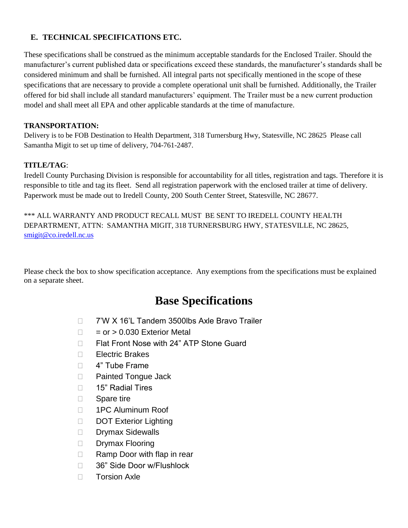### **E. TECHNICAL SPECIFICATIONS ETC.**

These specifications shall be construed as the minimum acceptable standards for the Enclosed Trailer. Should the manufacturer's current published data or specifications exceed these standards, the manufacturer's standards shall be considered minimum and shall be furnished. All integral parts not specifically mentioned in the scope of these specifications that are necessary to provide a complete operational unit shall be furnished. Additionally, the Trailer offered for bid shall include all standard manufacturers' equipment. The Trailer must be a new current production model and shall meet all EPA and other applicable standards at the time of manufacture.

### **TRANSPORTATION:**

Delivery is to be FOB Destination to Health Department, 318 Turnersburg Hwy, Statesville, NC 28625 Please call Samantha Migit to set up time of delivery, 704-761-2487.

## **TITLE/TAG**:

Iredell County Purchasing Division is responsible for accountability for all titles, registration and tags. Therefore it is responsible to title and tag its fleet. Send all registration paperwork with the enclosed trailer at time of delivery. Paperwork must be made out to Iredell County, 200 South Center Street, Statesville, NC 28677.

\*\*\* ALL WARRANTY AND PRODUCT RECALL MUST BE SENT TO IREDELL COUNTY HEALTH DEPARTRMENT, ATTN: SAMANTHA MIGIT, 318 TURNERSBURG HWY, STATESVILLE, NC 28625, [smigit@co.iredell.nc.us](mailto:smigit@co.iredell.nc.us)

Please check the box to show specification acceptance. Any exemptions from the specifications must be explained on a separate sheet.

## **Base Specifications**

- □ 7'W X 16'L Tandem 3500lbs Axle Bravo Trailer
- $\Box$  = or > 0.030 Exterior Metal
- □ Flat Front Nose with 24" ATP Stone Guard
- $\Box$  Electric Brakes
- □ 4" Tube Frame
- □ Painted Tongue Jack
- □ 15" Radial Tires
- □ Spare tire
- □ 1PC Aluminum Roof
- DOT Exterior Lighting
- Drymax Sidewalls
- Drymax Flooring
- $\Box$  Ramp Door with flap in rear
- 36" Side Door w/Flushlock
- $\Box$  Torsion Axle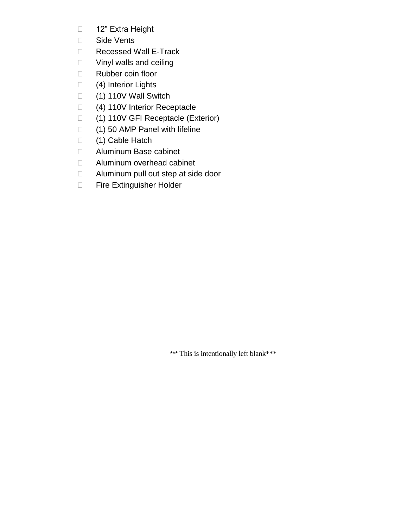- □ 12" Extra Height
- □ Side Vents
- Recessed Wall E-Track
- □ Vinyl walls and ceiling
- Rubber coin floor
- □ (4) Interior Lights
- □ (1) 110V Wall Switch
- □ (4) 110V Interior Receptacle
- (1) 110V GFI Receptacle (Exterior)
- $\Box$  (1) 50 AMP Panel with lifeline
- □ (1) Cable Hatch
- Aluminum Base cabinet
- □ Aluminum overhead cabinet
- □ Aluminum pull out step at side door
- **Fire Extinguisher Holder**

\*\*\* This is intentionally left blank\*\*\*